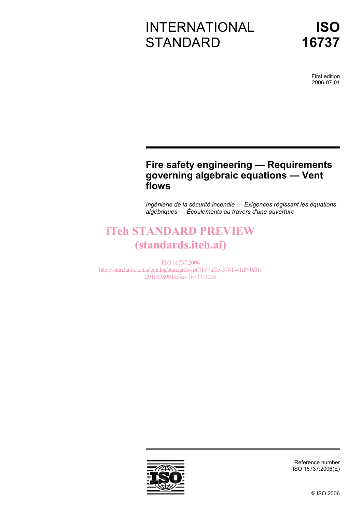# INTERNATIONAL **STANDARD**

First edition 2006-07-01

# **Fire safety engineering — Requirements governing algebraic equations — Vent flows**

*Ingénierie de la sécurité incendie — Exigences régissant les équations algébriques — Écoulements au travers d'une ouverture* 

# iTeh STANDARD PREVIEW (standards.iteh.ai)

ISO 16737:2006 https://standards.iteh.ai/catalog/standards/sist/7b97af1e-3781-41d9-bf91- 291c078981fc/iso-16737-2006



Reference number ISO 16737:2006(E)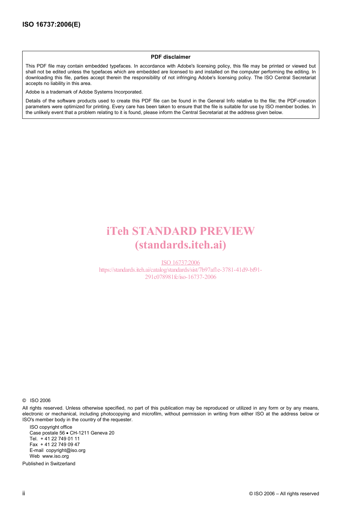#### **PDF disclaimer**

This PDF file may contain embedded typefaces. In accordance with Adobe's licensing policy, this file may be printed or viewed but shall not be edited unless the typefaces which are embedded are licensed to and installed on the computer performing the editing. In downloading this file, parties accept therein the responsibility of not infringing Adobe's licensing policy. The ISO Central Secretariat accepts no liability in this area.

Adobe is a trademark of Adobe Systems Incorporated.

Details of the software products used to create this PDF file can be found in the General Info relative to the file; the PDF-creation parameters were optimized for printing. Every care has been taken to ensure that the file is suitable for use by ISO member bodies. In the unlikely event that a problem relating to it is found, please inform the Central Secretariat at the address given below.

# iTeh STANDARD PREVIEW (standards.iteh.ai)

ISO 16737:2006 https://standards.iteh.ai/catalog/standards/sist/7b97af1e-3781-41d9-bf91- 291c078981fc/iso-16737-2006

© ISO 2006

All rights reserved. Unless otherwise specified, no part of this publication may be reproduced or utilized in any form or by any means, electronic or mechanical, including photocopying and microfilm, without permission in writing from either ISO at the address below or ISO's member body in the country of the requester.

ISO copyright office Case postale 56 • CH-1211 Geneva 20 Tel. + 41 22 749 01 11 Fax + 41 22 749 09 47 E-mail copyright@iso.org Web www.iso.org

Published in Switzerland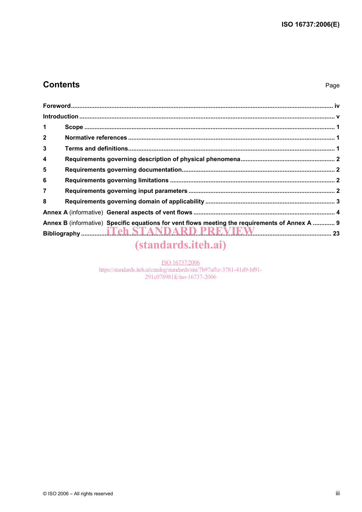# **Contents**

# Page

| 1                                                                                              |                            |  |  |
|------------------------------------------------------------------------------------------------|----------------------------|--|--|
| $\mathbf{2}$                                                                                   |                            |  |  |
| 3                                                                                              |                            |  |  |
| $\overline{\mathbf{4}}$                                                                        |                            |  |  |
| 5                                                                                              |                            |  |  |
| 6                                                                                              |                            |  |  |
| $\overline{7}$                                                                                 |                            |  |  |
| 8                                                                                              |                            |  |  |
|                                                                                                |                            |  |  |
| Annex B (informative) Specific equations for vent flows meeting the requirements of Annex A  9 |                            |  |  |
|                                                                                                |                            |  |  |
|                                                                                                | <i>(standards.iteh.ai)</i> |  |  |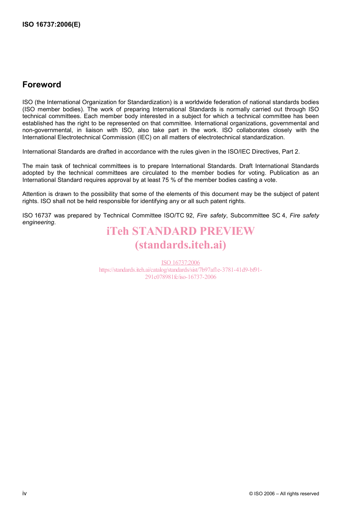# **Foreword**

ISO (the International Organization for Standardization) is a worldwide federation of national standards bodies (ISO member bodies). The work of preparing International Standards is normally carried out through ISO technical committees. Each member body interested in a subject for which a technical committee has been established has the right to be represented on that committee. International organizations, governmental and non-governmental, in liaison with ISO, also take part in the work. ISO collaborates closely with the International Electrotechnical Commission (IEC) on all matters of electrotechnical standardization.

International Standards are drafted in accordance with the rules given in the ISO/IEC Directives, Part 2.

The main task of technical committees is to prepare International Standards. Draft International Standards adopted by the technical committees are circulated to the member bodies for voting. Publication as an International Standard requires approval by at least 75 % of the member bodies casting a vote.

Attention is drawn to the possibility that some of the elements of this document may be the subject of patent rights. ISO shall not be held responsible for identifying any or all such patent rights.

ISO 16737 was prepared by Technical Committee ISO/TC 92, *Fire safety*, Subcommittee SC 4, *Fire safety engineering*.

# iTeh STANDARD PREVIEW (standards.iteh.ai)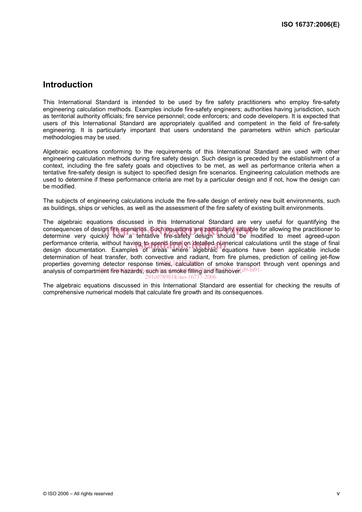# **Introduction**

This International Standard is intended to be used by fire safety practitioners who employ fire-safety engineering calculation methods. Examples include fire-safety engineers; authorities having jurisdiction, such as territorial authority officials; fire service personnel; code enforcers; and code developers. It is expected that users of this International Standard are appropriately qualified and competent in the field of fire-safety engineering. It is particularly important that users understand the parameters within which particular methodologies may be used.

Algebraic equations conforming to the requirements of this International Standard are used with other engineering calculation methods during fire safety design. Such design is preceded by the establishment of a context, including the fire safety goals and objectives to be met, as well as performance criteria when a tentative fire-safety design is subject to specified design fire scenarios. Engineering calculation methods are used to determine if these performance criteria are met by a particular design and if not, how the design can be modified.

The subjects of engineering calculations include the fire-safe design of entirely new built environments, such as buildings, ships or vehicles, as well as the assessment of the fire safety of existing built environments.

The algebraic equations discussed in this International Standard are very useful for quantifying the consequences of design fire scenarios. Such equations are particularly valuable for allowing the practitioner to consequences of design fire scenarios. Such equations are particularly valuable for allowing the practitioner to<br>determine very quickly how a tentative fire-safety design should be modified to meet agreed-upon performance criteria, without having to spend time on detailed numerical calculations until the stage of final<br>design documentation. Examples of areas, where algebraic equations, have been applicable include design documentation. Examples of areas where algebraic equations have been applicable include determination of heat transfer, both convective and radiant, from fire plumes, prediction of ceiling jet-flow properties governing detector response times, Ealculation of smoke transport through vent openings and analysis of compartment fire hazards) such as smoke filling and flashover.d9-bf91-291c078981fc/iso-16737-2006

The algebraic equations discussed in this International Standard are essential for checking the results of comprehensive numerical models that calculate fire growth and its consequences.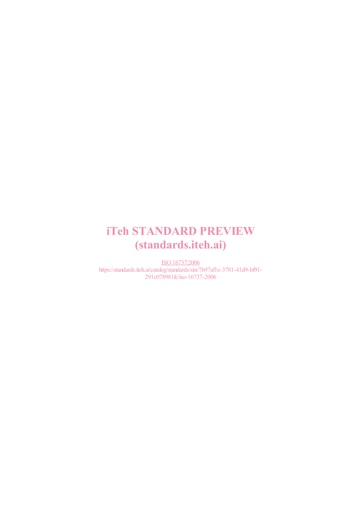# iTeh STANDARD PREVIEW (standards.iteh.ai)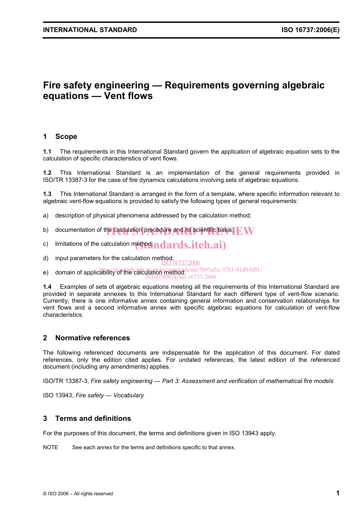# **Fire safety engineering — Requirements governing algebraic equations — Vent flows**

### **1 Scope**

**1.1** The requirements in this International Standard govern the application of algebraic equation sets to the calculation of specific characteristics of vent flows.

**1.2** This International Standard is an implementation of the general requirements provided in ISO/TR 13387-3 for the case of fire dynamics calculations involving sets of algebraic equations.

**1.3** This International Standard is arranged in the form of a template, where specific information relevant to algebraic vent-flow equations is provided to satisfy the following types of general requirements:

- a) description of physical phenomena addressed by the calculation method;
- b) documentation of the calculation procedure and its scientific basis;  $\boldsymbol{\mathrm{FW}}$
- c) limitations of the calculation method;  $\mathbf{adards}.\mathbf{iteh}.\mathbf{ai})$
- d) input parameters for the calculation method; 5737:2006
- e) domain of applicability of the calculation method.  $\frac{1}{2}$  and  $\frac{1}{2}$  domain of applicability of the calculation method.

291c078981fc/iso-16737-2006

**1.4** Examples of sets of algebraic equations meeting all the requirements of this International Standard are provided in separate annexes to this International Standard for each different type of vent-flow scenario. Currently, there is one informative annex containing general information and conservation relationships for vent flows and a second informative annex with specific algebraic equations for calculation of vent-flow characteristics.

#### **2 Normative references**

The following referenced documents are indispensable for the application of this document. For dated references, only the edition cited applies. For undated references, the latest edition of the referenced document (including any amendments) applies.

ISO/TR 13387-3, *Fire safety engineering — Part 3: Assessment and verification of mathematical fire models*

ISO 13943, *Fire safety — Vocabulary*

#### **3 Terms and definitions**

For the purposes of this document, the terms and definitions given in ISO 13943 apply.

NOTE See each annex for the terms and definitions specific to that annex.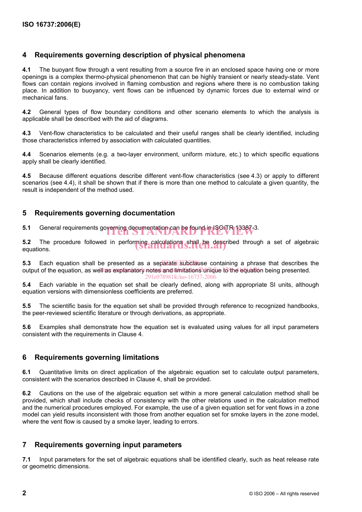# **4 Requirements governing description of physical phenomena**

**4.1** The buoyant flow through a vent resulting from a source fire in an enclosed space having one or more openings is a complex thermo-physical phenomenon that can be highly transient or nearly steady-state. Vent flows can contain regions involved in flaming combustion and regions where there is no combustion taking place. In addition to buoyancy, vent flows can be influenced by dynamic forces due to external wind or mechanical fans.

**4.2** General types of flow boundary conditions and other scenario elements to which the analysis is applicable shall be described with the aid of diagrams.

**4.3** Vent-flow characteristics to be calculated and their useful ranges shall be clearly identified, including those characteristics inferred by association with calculated quantities.

**4.4** Scenarios elements (e.g. a two-layer environment, uniform mixture, etc.) to which specific equations apply shall be clearly identified.

**4.5** Because different equations describe different vent-flow characteristics (see 4.3) or apply to different scenarios (see 4.4), it shall be shown that if there is more than one method to calculate a given quantity, the result is independent of the method used.

## **5 Requirements governing documentation**

**5.1** General requirements governing documentation can be found in ISO/TR 13387-3.

**5.2** The procedure followed in performing calculations shall be described through a set of algebraic equations. equations.

5.3 Each equation shall be presented as a separate subclause containing a phrase that describes the output of the equation, as well as explanatory notes and limitations unique to the equation being presented. 291c078981fc/iso-16737-2006

**5.4** Each variable in the equation set shall be clearly defined, along with appropriate SI units, although equation versions with dimensionless coefficients are preferred.

**5.5** The scientific basis for the equation set shall be provided through reference to recognized handbooks, the peer-reviewed scientific literature or through derivations, as appropriate.

**5.6** Examples shall demonstrate how the equation set is evaluated using values for all input parameters consistent with the requirements in Clause 4.

## **6 Requirements governing limitations**

**6.1** Quantitative limits on direct application of the algebraic equation set to calculate output parameters, consistent with the scenarios described in Clause 4, shall be provided.

**6.2** Cautions on the use of the algebraic equation set within a more general calculation method shall be provided, which shall include checks of consistency with the other relations used in the calculation method and the numerical procedures employed. For example, the use of a given equation set for vent flows in a zone model can yield results inconsistent with those from another equation set for smoke layers in the zone model, where the vent flow is caused by a smoke layer, leading to errors.

## **7 Requirements governing input parameters**

**7.1** Input parameters for the set of algebraic equations shall be identified clearly, such as heat release rate or geometric dimensions.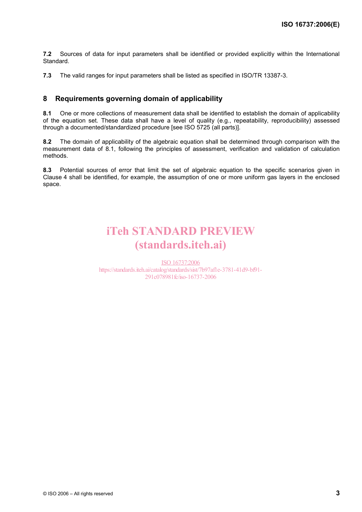**7.2** Sources of data for input parameters shall be identified or provided explicitly within the International Standard.

**7.3** The valid ranges for input parameters shall be listed as specified in ISO/TR 13387-3.

# **8 Requirements governing domain of applicability**

**8.1** One or more collections of measurement data shall be identified to establish the domain of applicability of the equation set. These data shall have a level of quality (e.g., repeatability, reproducibility) assessed through a documented/standardized procedure [see ISO 5725 (all parts)].

**8.2** The domain of applicability of the algebraic equation shall be determined through comparison with the measurement data of 8.1, following the principles of assessment, verification and validation of calculation methods.

**8.3** Potential sources of error that limit the set of algebraic equation to the specific scenarios given in Clause 4 shall be identified, for example, the assumption of one or more uniform gas layers in the enclosed space.

# iTeh STANDARD PREVIEW (standards.iteh.ai)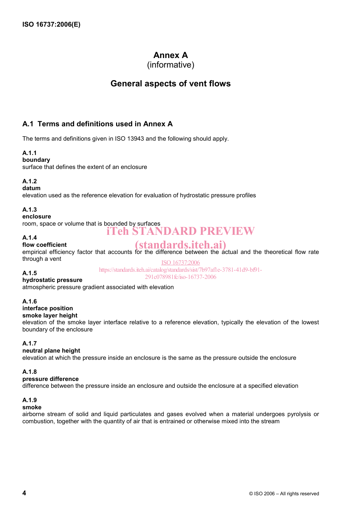# **Annex A**

# (informative)

# **General aspects of vent flows**

# **A.1 Terms and definitions used in Annex A**

The terms and definitions given in ISO 13943 and the following should apply.

### **A.1.1**

**boundary** 

surface that defines the extent of an enclosure

# **A.1.2**

#### **datum**

elevation used as the reference elevation for evaluation of hydrostatic pressure profiles

### **A.1.3**

#### **enclosure**

room, space or volume that is bounded by surfaces iTeh STANDARD PREVIEW

#### **A.1.4**

# (standards.iteh.ai)

**flow coefficient**  empirical efficiency factor that accounts for the difference between the actual and the theoretical flow rate through a vent ISO 16737:2006

https://standards.iteh.ai/catalog/standards/sist/7b97af1e-3781-41d9-bf91- 291c078981fc/iso-16737-2006

#### **A.1.5 hydrostatic pressure**

atmospheric pressure gradient associated with elevation

#### **A.1.6**

# **interface position**

#### **smoke layer height**

elevation of the smoke layer interface relative to a reference elevation, typically the elevation of the lowest boundary of the enclosure

#### **A.1.7**

#### **neutral plane height**

elevation at which the pressure inside an enclosure is the same as the pressure outside the enclosure

#### **A.1.8**

#### **pressure difference**

difference between the pressure inside an enclosure and outside the enclosure at a specified elevation

#### **A.1.9**

#### **smoke**

airborne stream of solid and liquid particulates and gases evolved when a material undergoes pyrolysis or combustion, together with the quantity of air that is entrained or otherwise mixed into the stream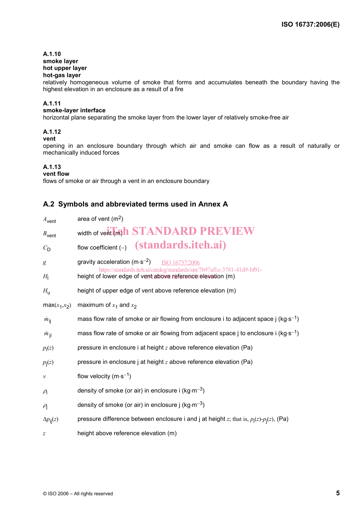## **A.1.10**

#### **smoke layer hot upper layer**

# **hot-gas layer**

relatively homogeneous volume of smoke that forms and accumulates beneath the boundary having the highest elevation in an enclosure as a result of a fire

### **A.1.11**

#### **smoke-layer interface**

horizontal plane separating the smoke layer from the lower layer of relatively smoke-free air

### **A.1.12**

#### **vent**

opening in an enclosure boundary through which air and smoke can flow as a result of naturally or mechanically induced forces

# **A.1.13**

#### **vent flow**

flows of smoke or air through a vent in an enclosure boundary

# **A.2 Symbols and abbreviated terms used in Annex A**

| $A_{\text{vent}}$  | area of vent $(m2)$                                                                                                                     |
|--------------------|-----------------------------------------------------------------------------------------------------------------------------------------|
| $B_{\text{vent}}$  | width of vent (m) h STANDARD PREVIEW                                                                                                    |
| $C_{\mathsf{D}}$   | <i>(standards.iteh.ai)</i><br>flow coefficient $(-)$                                                                                    |
| g                  | gravity acceleration $(m \cdot s^{-2})$<br>ISO 16737:2006                                                                               |
| $H_{\rm I}$        | https://standards.iteh.ai/catalog/standards/sist/7b97af1e-3781-41d9-bf91-<br>height of lower edge of vent above reference elevation (m) |
| $H_{\rm H}$        | height of upper edge of vent above reference elevation (m)                                                                              |
| $max(x_1,x_2)$     | maximum of $x_1$ and $x_2$                                                                                                              |
| $\dot{m}_{\rm ij}$ | mass flow rate of smoke or air flowing from enclosure i to adjacent space j (kg·s <sup>-1</sup> )                                       |
| $\dot{m}$ ii       | mass flow rate of smoke or air flowing from adjacent space j to enclosure i (kg $\cdot$ s <sup>-1</sup> )                               |
| $p_i(z)$           | pressure in enclosure i at height z above reference elevation (Pa)                                                                      |
| $p_i(z)$           | pressure in enclosure j at height z above reference elevation (Pa)                                                                      |
| $\mathcal V$       | flow velocity $(m \cdot s^{-1})$                                                                                                        |
| $\rho_{\rm i}$     | density of smoke (or air) in enclosure i (kg $\cdot$ m <sup>-3</sup> )                                                                  |
| $P_{\rm i}$        | density of smoke (or air) in enclosure j (kg $\cdot$ m <sup>-3</sup> )                                                                  |
| $\Delta p_{ij}(z)$ | pressure difference between enclosure i and j at height z; that is, $p_1(z) - p_1(z)$ , (Pa)                                            |
| z                  | height above reference elevation (m)                                                                                                    |